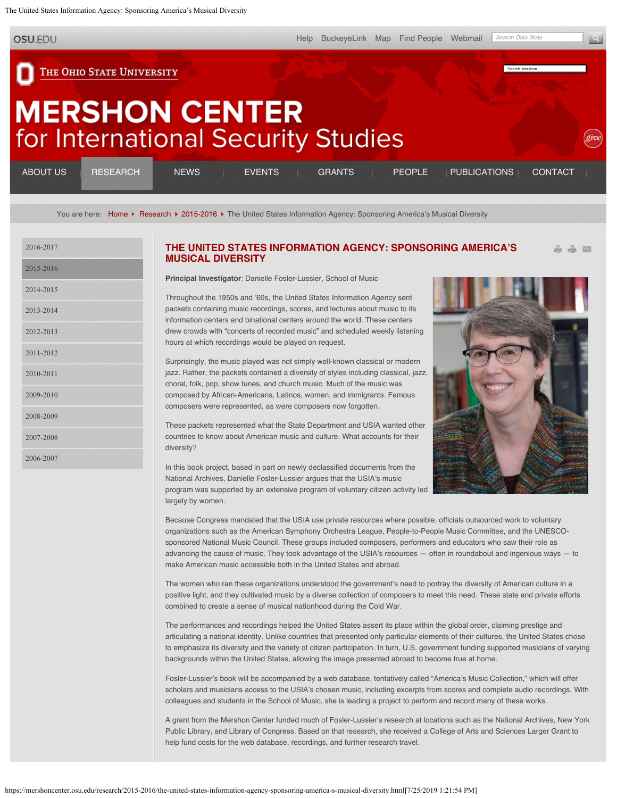<span id="page-0-0"></span>The United States Information Agency: Sponsoring America's Musical Diversity

THE OHIO STATE UNIVERSITY

**OSU.EDU** 

Search Mershon

## **MERSHON CENTER** for International Security Studies

| ________<br>_____<br>_____<br><b>ABOUT US</b><br>________                   | <b>NFWS</b>                 | <b>FVENTS</b>                   | <b>GRANTS</b>                              | PEOPLE                      | PUBLICATIONS                                                                                        | .<br>_____________<br><b>CONTACT</b>                                                             |
|-----------------------------------------------------------------------------|-----------------------------|---------------------------------|--------------------------------------------|-----------------------------|-----------------------------------------------------------------------------------------------------|--------------------------------------------------------------------------------------------------|
| ______<br>----------<br>--------<br>.<br>------------<br>____<br>---------- | ______<br>.<br>------------ | ______<br>-----------<br>.<br>. | ______<br>______<br>,,,,,,,,,,,,,,,,,<br>. | _______<br><br>------------ | ------<br>______<br>_______<br>______<br>______<br>------------<br>---------------<br>------------- | ______<br>________<br>.<br>_______<br>----------<br>-------------<br>_______<br>---------------- |

You are here: [Home](https://mershoncenter.osu.edu/) F [Research](https://mershoncenter.osu.edu/research.html) F [2015-2016](https://mershoncenter.osu.edu/research/2015-2016.html) F The United States Information Agency: Sponsoring America's Musical Diversity

| 2016-2017 |  |
|-----------|--|
| 2015-2016 |  |
| 2014-2015 |  |
| 2013-2014 |  |
| 2012-2013 |  |
| 2011-2012 |  |
| 2010-2011 |  |
| 2009-2010 |  |
| 2008-2009 |  |
| 2007-2008 |  |
| 2006-2007 |  |

## **[THE UNITED STATES INFORMATION AGENCY: SPONSORING AMERICA'S](#page-0-0)** a a E **[MUSICAL DIVERSITY](#page-0-0)**

**Principal Investigator**: Danielle Fosler-Lussier, School of Music

Throughout the 1950s and '60s, the United States Information Agency sent packets containing music recordings, scores, and lectures about music to its information centers and binational centers around the world. These centers drew crowds with "concerts of recorded music" and scheduled weekly listening hours at which recordings would be played on request.

Surprisingly, the music played was not simply well-known classical or modern jazz. Rather, the packets contained a diversity of styles including classical, jazz, choral, folk, pop, show tunes, and church music. Much of the music was composed by African-Americans, Latinos, women, and immigrants. Famous composers were represented, as were composers now forgotten.

These packets represented what the State Department and USIA wanted other countries to know about American music and culture. What accounts for their diversity?

In this book project, based in part on newly declassified documents from the National Archives, Danielle Fosler-Lussier argues that the USIA's music program was supported by an extensive program of voluntary citizen activity led largely by women.



Because Congress mandated that the USIA use private resources where possible, officials outsourced work to voluntary organizations such as the American Symphony Orchestra League, People-to-People Music Committee, and the UNESCOsponsored National Music Council. These groups included composers, performers and educators who saw their role as advancing the cause of music. They took advantage of the USIA's resources — often in roundabout and ingenious ways — to make American music accessible both in the United States and abroad.

The women who ran these organizations understood the government's need to portray the diversity of American culture in a positive light, and they cultivated music by a diverse collection of composers to meet this need. These state and private efforts combined to create a sense of musical nationhood during the Cold War.

The performances and recordings helped the United States assert its place within the global order, claiming prestige and articulating a national identity. Unlike countries that presented only particular elements of their cultures, the United States chose to emphasize its diversity and the variety of citizen participation. In turn, U.S. government funding supported musicians of varying backgrounds within the United States, allowing the image presented abroad to become true at home.

Fosler-Lussier's book will be accompanied by a web database, tentatively called "America's Music Collection," which will offer scholars and musicians access to the USIA's chosen music, including excerpts from scores and complete audio recordings. With colleagues and students in the School of Music, she is leading a project to perform and record many of these works.

A grant from the Mershon Center funded much of Fosler-Lussier's research at locations such as the National Archives, New York Public Library, and Library of Congress. Based on that research, she received a College of Arts and Sciences Larger Grant to help fund costs for the web database, recordings, and further research travel.